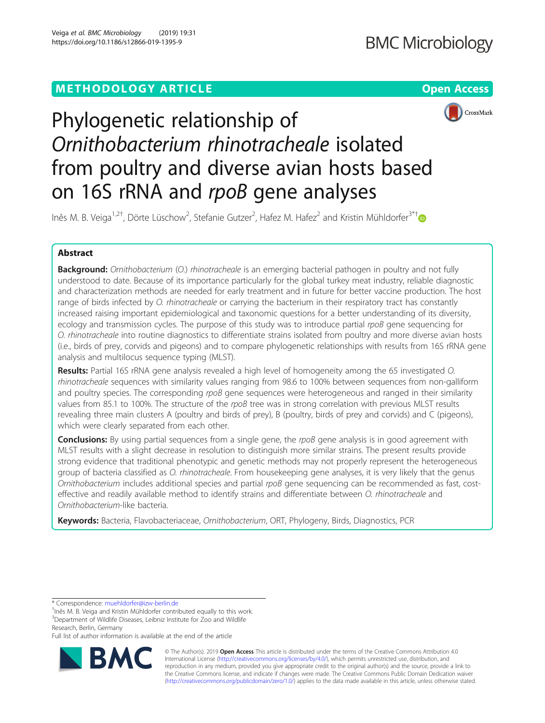# **METHODOLOGY ARTICLE CONSUMING A RESERVE AND LODGE ACCESS**





# Phylogenetic relationship of Ornithobacterium rhinotracheale isolated from poultry and diverse avian hosts based on 16S rRNA and rpoB gene analyses

Inês M. B. Veiga<sup>1,2[†](http://orcid.org/0000-0001-8023-4736)</sup>, Dörte Lüschow<sup>2</sup>, Stefanie Gutzer<sup>2</sup>, Hafez M. Hafez<sup>2</sup> and Kristin Mühldorfer<sup>3\*†</sup>

# Abstract

Background: Ornithobacterium (O.) rhinotracheale is an emerging bacterial pathogen in poultry and not fully understood to date. Because of its importance particularly for the global turkey meat industry, reliable diagnostic and characterization methods are needed for early treatment and in future for better vaccine production. The host range of birds infected by O. rhinotracheale or carrying the bacterium in their respiratory tract has constantly increased raising important epidemiological and taxonomic questions for a better understanding of its diversity, ecology and transmission cycles. The purpose of this study was to introduce partial rpoB gene sequencing for O. rhinotracheale into routine diagnostics to differentiate strains isolated from poultry and more diverse avian hosts (i.e., birds of prey, corvids and pigeons) and to compare phylogenetic relationships with results from 16S rRNA gene analysis and multilocus sequence typing (MLST).

Results: Partial 16S rRNA gene analysis revealed a high level of homogeneity among the 65 investigated O. rhinotracheale sequences with similarity values ranging from 98.6 to 100% between sequences from non-galliform and poultry species. The corresponding rpoB gene sequences were heterogeneous and ranged in their similarity values from 85.1 to 100%. The structure of the rpoB tree was in strong correlation with previous MLST results revealing three main clusters A (poultry and birds of prey), B (poultry, birds of prey and corvids) and C (pigeons), which were clearly separated from each other.

**Conclusions:** By using partial sequences from a single gene, the rpoB gene analysis is in good agreement with MLST results with a slight decrease in resolution to distinguish more similar strains. The present results provide strong evidence that traditional phenotypic and genetic methods may not properly represent the heterogeneous group of bacteria classified as O. rhinotracheale. From housekeeping gene analyses, it is very likely that the genus Ornithobacterium includes additional species and partial rpoB gene sequencing can be recommended as fast, costeffective and readily available method to identify strains and differentiate between O. rhinotracheale and Ornithobacterium-like bacteria.

Keywords: Bacteria, Flavobacteriaceae, Ornithobacterium, ORT, Phylogeny, Birds, Diagnostics, PCR

\* Correspondence: [muehldorfer@izw-berlin.de](mailto:muehldorfer@izw-berlin.de) †

Full list of author information is available at the end of the article



© The Author(s). 2019 Open Access This article is distributed under the terms of the Creative Commons Attribution 4.0 International License [\(http://creativecommons.org/licenses/by/4.0/](http://creativecommons.org/licenses/by/4.0/)), which permits unrestricted use, distribution, and reproduction in any medium, provided you give appropriate credit to the original author(s) and the source, provide a link to the Creative Commons license, and indicate if changes were made. The Creative Commons Public Domain Dedication waiver [\(http://creativecommons.org/publicdomain/zero/1.0/](http://creativecommons.org/publicdomain/zero/1.0/)) applies to the data made available in this article, unless otherwise stated.

<sup>&</sup>lt;sup>t</sup>Inês M. B. Veiga and Kristin Mühldorfer contributed equally to this work. <sup>3</sup>Department of Wildlife Diseases, Leibniz Institute for Zoo and Wildlife Research, Berlin, Germany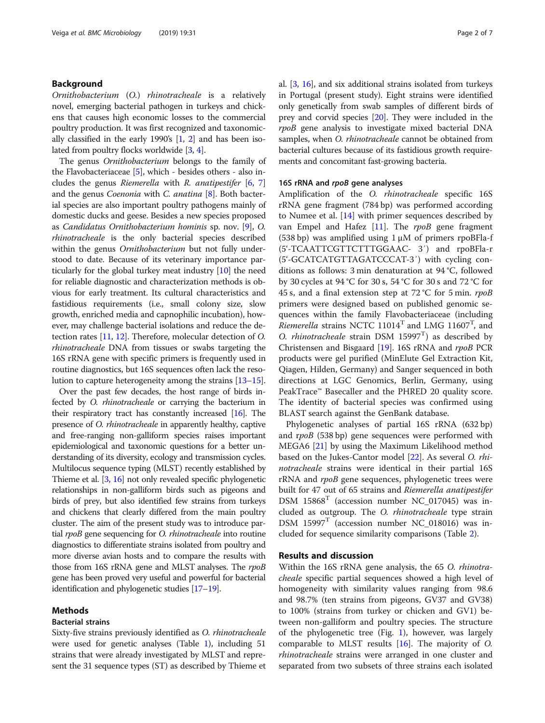# Background

Ornithobacterium (O.) rhinotracheale is a relatively novel, emerging bacterial pathogen in turkeys and chickens that causes high economic losses to the commercial poultry production. It was first recognized and taxonomically classified in the early 1990's [\[1,](#page-6-0) [2\]](#page-6-0) and has been isolated from poultry flocks worldwide [\[3](#page-6-0), [4\]](#page-6-0).

The genus Ornithobacterium belongs to the family of the Flavobacteriaceae [\[5\]](#page-6-0), which - besides others - also includes the genus Riemerella with R. anatipestifer  $[6, 7]$  $[6, 7]$  $[6, 7]$  $[6, 7]$ and the genus Coenonia with C. anatina [\[8](#page-6-0)]. Both bacterial species are also important poultry pathogens mainly of domestic ducks and geese. Besides a new species proposed as Candidatus Ornithobacterium hominis sp. nov. [[9\]](#page-6-0), O. rhinotracheale is the only bacterial species described within the genus Ornithobacterium but not fully understood to date. Because of its veterinary importance particularly for the global turkey meat industry [[10](#page-6-0)] the need for reliable diagnostic and characterization methods is obvious for early treatment. Its cultural characteristics and fastidious requirements (i.e., small colony size, slow growth, enriched media and capnophilic incubation), however, may challenge bacterial isolations and reduce the detection rates [\[11,](#page-6-0) [12](#page-6-0)]. Therefore, molecular detection of O. rhinotracheale DNA from tissues or swabs targeting the 16S rRNA gene with specific primers is frequently used in routine diagnostics, but 16S sequences often lack the resolution to capture heterogeneity among the strains [\[13](#page-6-0)–[15](#page-6-0)].

Over the past few decades, the host range of birds infected by O. rhinotracheale or carrying the bacterium in their respiratory tract has constantly increased [[16](#page-6-0)]. The presence of O. rhinotracheale in apparently healthy, captive and free-ranging non-galliform species raises important epidemiological and taxonomic questions for a better understanding of its diversity, ecology and transmission cycles. Multilocus sequence typing (MLST) recently established by Thieme et al. [\[3,](#page-6-0) [16](#page-6-0)] not only revealed specific phylogenetic relationships in non-galliform birds such as pigeons and birds of prey, but also identified few strains from turkeys and chickens that clearly differed from the main poultry cluster. The aim of the present study was to introduce partial rpoB gene sequencing for O. rhinotracheale into routine diagnostics to differentiate strains isolated from poultry and more diverse avian hosts and to compare the results with those from 16S rRNA gene and MLST analyses. The rpoB gene has been proved very useful and powerful for bacterial identification and phylogenetic studies [\[17](#page-6-0)–[19\]](#page-6-0).

# Methods

# Bacterial strains

Sixty-five strains previously identified as O. rhinotracheale were used for genetic analyses (Table [1\)](#page-2-0), including 51 strains that were already investigated by MLST and represent the 31 sequence types (ST) as described by Thieme et al. [\[3,](#page-6-0) [16\]](#page-6-0), and six additional strains isolated from turkeys in Portugal (present study). Eight strains were identified only genetically from swab samples of different birds of prey and corvid species [\[20](#page-6-0)]. They were included in the rpoB gene analysis to investigate mixed bacterial DNA samples, when O. rhinotracheale cannot be obtained from bacterial cultures because of its fastidious growth requirements and concomitant fast-growing bacteria.

# 16S rRNA and rpoB gene analyses

Amplification of the O. rhinotracheale specific 16S rRNA gene fragment (784 bp) was performed according to Numee et al. [\[14\]](#page-6-0) with primer sequences described by van Empel and Hafez  $[11]$  $[11]$ . The rpoB gene fragment (538 bp) was amplified using 1 μM of primers rpoBFla-f (5'-TCAATTCGTTCTTTGGAAC- 3′) and rpoBFla-r (5'-GCATCATGTTAGATCCCAT-3′) with cycling conditions as follows: 3 min denaturation at 94 °C, followed by 30 cycles at 94 °C for 30 s, 54 °C for 30 s and 72 °C for 45 s, and a final extension step at 72 °C for 5 min. rpoB primers were designed based on published genomic sequences within the family Flavobacteriaceae (including Riemerella strains NCTC  $11014<sup>T</sup>$  and LMG  $11607<sup>T</sup>$ , and O. rhinotracheale strain DSM 15997<sup>T</sup>) as described by Christensen and Bisgaard [[19\]](#page-6-0). 16S rRNA and rpoB PCR products were gel purified (MinElute Gel Extraction Kit, Qiagen, Hilden, Germany) and Sanger sequenced in both directions at LGC Genomics, Berlin, Germany, using PeakTrace™ Basecaller and the PHRED 20 quality score. The identity of bacterial species was confirmed using BLAST search against the GenBank database.

Phylogenetic analyses of partial 16S rRNA (632 bp) and rpoB (538 bp) gene sequences were performed with MEGA6 [[21\]](#page-6-0) by using the Maximum Likelihood method based on the Jukes-Cantor model [\[22](#page-6-0)]. As several O. rhinotracheale strains were identical in their partial 16S rRNA and *rpoB* gene sequences, phylogenetic trees were built for 47 out of 65 strains and Riemerella anatipestifer DSM  $15868<sup>T</sup>$  (accession number NC 017045) was included as outgroup. The O. rhinotracheale type strain DSM  $15997<sup>T</sup>$  (accession number NC\_018016) was included for sequence similarity comparisons (Table [2](#page-3-0)).

## Results and discussion

Within the 16S rRNA gene analysis, the 65 O. rhinotracheale specific partial sequences showed a high level of homogeneity with similarity values ranging from 98.6 and 98.7% (ten strains from pigeons, GV37 and GV38) to 100% (strains from turkey or chicken and GV1) between non-galliform and poultry species. The structure of the phylogenetic tree (Fig. [1\)](#page-4-0), however, was largely comparable to MLST results [\[16](#page-6-0)]. The majority of O. rhinotracheale strains were arranged in one cluster and separated from two subsets of three strains each isolated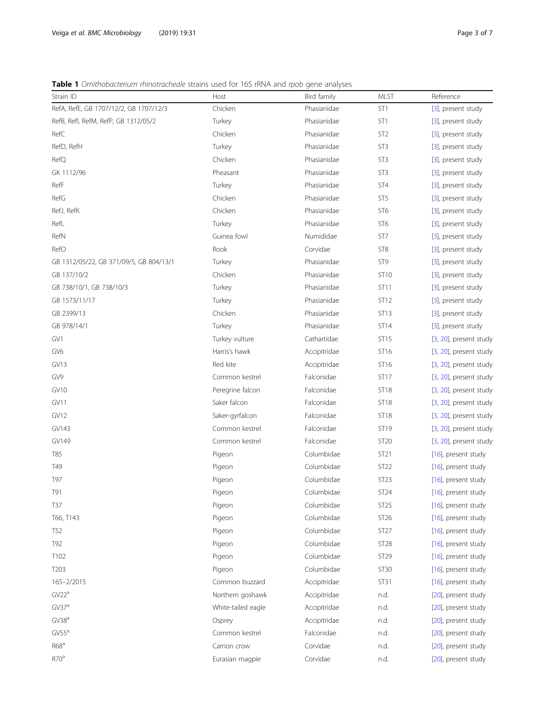<span id="page-2-0"></span>Table 1 Ornithobacterium rhinotracheale strains used for 16S rRNA and rpob gene analyses

| Strain ID                               | Host               | Bird family  | <b>MLST</b>      | Reference                 |
|-----------------------------------------|--------------------|--------------|------------------|---------------------------|
| RefA, RefE, GB 1707/12/2, GB 1707/12/3  | Chicken            | Phasianidae  | ST <sub>1</sub>  | [3], present study        |
| RefB, Refl, RefM, RefP, GB 1312/05/2    | Turkey             | Phasianidae  | ST <sub>1</sub>  | [3], present study        |
| RefC                                    | Chicken            | Phasianidae  | ST <sub>2</sub>  | [3], present study        |
| RefD, RefH                              | Turkey             | Phasianidae  | ST <sub>3</sub>  | [3], present study        |
| RefQ                                    | Chicken            | Phasianidae  | ST <sub>3</sub>  | [3], present study        |
| GK 1112/96                              | Pheasant           | Phasianidae  | ST <sub>3</sub>  | [3], present study        |
| RefF                                    | Turkey             | Phasianidae  | ST <sub>4</sub>  | [3], present study        |
| RefG                                    | Chicken            | Phasianidae  | ST <sub>5</sub>  | [3], present study        |
| RefJ, RefK                              | Chicken            | Phasianidae  | ST <sub>6</sub>  | [3], present study        |
| RefL                                    | Turkey             | Phasianidae  | ST <sub>6</sub>  | [3], present study        |
| RefN                                    | Guinea fowl        | Numididae    | ST7              | [3], present study        |
| RefO                                    | Rook               | Corvidae     | ST <sub>8</sub>  | [3], present study        |
| GB 1312/05/22, GB 371/09/5, GB 804/13/1 | Turkey             | Phasianidae  | ST <sub>9</sub>  | [3], present study        |
| GB 137/10/2                             | Chicken            | Phasianidae  | ST10             | [3], present study        |
| GB 738/10/1, GB 738/10/3                | Turkey             | Phasianidae  | ST11             | [3], present study        |
| GB 1573/11/17                           | Turkey             | Phasianidae  | <b>ST12</b>      | [3], present study        |
| GB 2399/13                              | Chicken            | Phasianidae  | ST13             | [3], present study        |
| GB 978/14/1                             | Turkey             | Phasianidae  | ST14             | [3], present study        |
| GV1                                     | Turkey vulture     | Cathartidae  | ST15             | [3, 20], present study    |
| GV6                                     | Harris's hawk      | Accipitridae | ST16             | $[3, 20]$ , present study |
| GV13                                    | Red kite           | Accipitridae | ST16             | $[3, 20]$ , present study |
| GV9                                     | Common kestrel     | Falconidae   | <b>ST17</b>      | $[3, 20]$ , present study |
| GV10                                    | Peregrine falcon   | Falconidae   | <b>ST18</b>      | $[3, 20]$ , present study |
| GV11                                    | Saker falcon       | Falconidae   | ST18             | $[3, 20]$ , present study |
| GV12                                    | Saker-gyrfalcon    | Falconidae   | <b>ST18</b>      | [3, 20], present study    |
| GV143                                   | Common kestrel     | Falconidae   | ST19             | [3, 20], present study    |
| GV149                                   | Common kestrel     | Falconidae   | ST <sub>20</sub> | $[3, 20]$ , present study |
| T85                                     | Pigeon             | Columbidae   | ST21             | [16], present study       |
| T49                                     | Pigeon             | Columbidae   | <b>ST22</b>      | [16], present study       |
| T97                                     | Pigeon             | Columbidae   | ST23             | [16], present study       |
| T91                                     | Pigeon             | Columbidae   | ST24             | [16], present study       |
| T37                                     | Pigeon             | Columbidae   | ST25             | [16], present study       |
| T66, T143                               | Pigeon             | Columbidae   | ST26             | [16], present study       |
| T <sub>52</sub>                         | Pigeon             | Columbidae   | <b>ST27</b>      | [16], present study       |
| T92                                     | Pigeon             | Columbidae   | ST28             | [16], present study       |
| T102                                    | Pigeon             | Columbidae   | ST29             | [16], present study       |
| T <sub>203</sub>                        | Pigeon             | Columbidae   | ST <sub>30</sub> | [16], present study       |
| 165-2/2015                              | Common buzzard     | Accipitridae | ST31             | [16], present study       |
| $GV22^a$                                | Northern goshawk   | Accipitridae | n.d.             | [20], present study       |
| GV37 <sup>a</sup>                       | White-tailed eagle | Accipitridae | n.d.             | [20], present study       |
| GV38 <sup>a</sup>                       | Osprey             | Accipitridae | n.d.             | [20], present study       |
| $GV55^a$                                | Common kestrel     | Falconidae   | n.d.             | [20], present study       |
| R68 <sup>a</sup>                        | Carrion crow       | Corvidae     | n.d.             | [20], present study       |
| R70 <sup>a</sup>                        | Eurasian magpie    | Corvidae     | n.d.             | [20], present study       |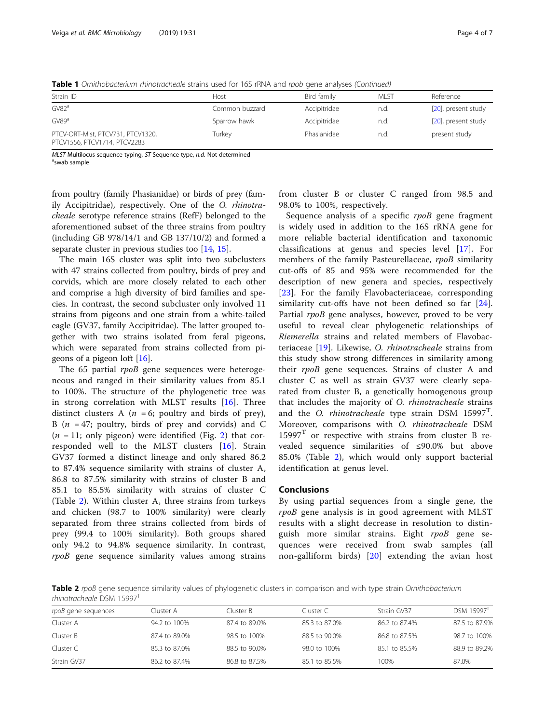<span id="page-3-0"></span>Table 1 Ornithobacterium rhinotracheale strains used for 16S rRNA and rpob gene analyses (Continued)

| Strain ID                                                         | Host           | Bird family  | <b>MLST</b> | Reference           |
|-------------------------------------------------------------------|----------------|--------------|-------------|---------------------|
| GV82 <sup>a</sup>                                                 | Common buzzard | Accipitridae | n.d.        | [20], present study |
| GV89a                                                             | Sparrow hawk   | Accipitridae | n.d.        | [20], present study |
| PTCV-ORT-Mist, PTCV731, PTCV1320,<br>PTCV1556, PTCV1714, PTCV2283 | Turkey         | Phasianidae  | n.d.        | present study       |

MLST Multilocus sequence typing, ST Sequence type, n.d. Not determined swab sample

from poultry (family Phasianidae) or birds of prey (family Accipitridae), respectively. One of the O. rhinotracheale serotype reference strains (RefF) belonged to the aforementioned subset of the three strains from poultry (including GB 978/14/1 and GB 137/10/2) and formed a separate cluster in previous studies too [[14](#page-6-0), [15](#page-6-0)].

The main 16S cluster was split into two subclusters with 47 strains collected from poultry, birds of prey and corvids, which are more closely related to each other and comprise a high diversity of bird families and species. In contrast, the second subcluster only involved 11 strains from pigeons and one strain from a white-tailed eagle (GV37, family Accipitridae). The latter grouped together with two strains isolated from feral pigeons, which were separated from strains collected from pigeons of a pigeon loft [\[16](#page-6-0)].

The 65 partial *rpoB* gene sequences were heterogeneous and ranged in their similarity values from 85.1 to 100%. The structure of the phylogenetic tree was in strong correlation with MLST results [[16](#page-6-0)]. Three distinct clusters A ( $n = 6$ ; poultry and birds of prey), B ( $n = 47$ ; poultry, birds of prey and corvids) and C  $(n = 11;$  only pigeon) were identified (Fig. [2\)](#page-5-0) that corresponded well to the MLST clusters [[16](#page-6-0)]. Strain GV37 formed a distinct lineage and only shared 86.2 to 87.4% sequence similarity with strains of cluster A, 86.8 to 87.5% similarity with strains of cluster B and 85.1 to 85.5% similarity with strains of cluster C (Table 2). Within cluster A, three strains from turkeys and chicken (98.7 to 100% similarity) were clearly separated from three strains collected from birds of prey (99.4 to 100% similarity). Both groups shared only 94.2 to 94.8% sequence similarity. In contrast, rpoB gene sequence similarity values among strains

from cluster B or cluster C ranged from 98.5 and 98.0% to 100%, respectively.

Sequence analysis of a specific rpoB gene fragment is widely used in addition to the 16S rRNA gene for more reliable bacterial identification and taxonomic classifications at genus and species level [[17](#page-6-0)]. For members of the family Pasteurellaceae, rpoB similarity cut-offs of 85 and 95% were recommended for the description of new genera and species, respectively [[23\]](#page-6-0). For the family Flavobacteriaceae, corresponding similarity cut-offs have not been defined so far [\[24](#page-6-0)]. Partial *rpoB* gene analyses, however, proved to be very useful to reveal clear phylogenetic relationships of Riemerella strains and related members of Flavobacteriaceae [\[19](#page-6-0)]. Likewise, O. rhinotracheale strains from this study show strong differences in similarity among their rpoB gene sequences. Strains of cluster A and cluster C as well as strain GV37 were clearly separated from cluster B, a genetically homogenous group that includes the majority of O. rhinotracheale strains and the O. rhinotracheale type strain DSM  $15997$ <sup>T</sup>. Moreover, comparisons with O. rhinotracheale DSM  $15997<sup>T</sup>$  or respective with strains from cluster B revealed sequence similarities of ≤90.0% but above 85.0% (Table 2), which would only support bacterial identification at genus level.

# Conclusions

By using partial sequences from a single gene, the rpoB gene analysis is in good agreement with MLST results with a slight decrease in resolution to distinguish more similar strains. Eight rpoB gene sequences were received from swab samples (all non-galliform birds) [[20](#page-6-0)] extending the avian host

Table 2 rpoB gene sequence similarity values of phylogenetic clusters in comparison and with type strain Ornithobacterium  $r$ hinotracheale DSM 15997 $<sup>T</sup>$ </sup>

| rpoB gene sequences | Cluster A     | Cluster B     | Cluster C     | Strain GV37   | DSM 15997     |
|---------------------|---------------|---------------|---------------|---------------|---------------|
| Cluster A           | 94.2 to 100%  | 87.4 to 89.0% | 85.3 to 87.0% | 86.2 to 87.4% | 87.5 to 87.9% |
| Cluster B           | 87.4 to 89.0% | 98.5 to 100%  | 88.5 to 90.0% | 86.8 to 87.5% | 98.7 to 100%  |
| Cluster C           | 85.3 to 87.0% | 88.5 to 90.0% | 98.0 to 100%  | 85.1 to 85.5% | 88.9 to 89.2% |
| Strain GV37         | 86.2 to 87.4% | 86.8 to 87.5% | 85.1 to 85.5% | 100%          | 87.0%         |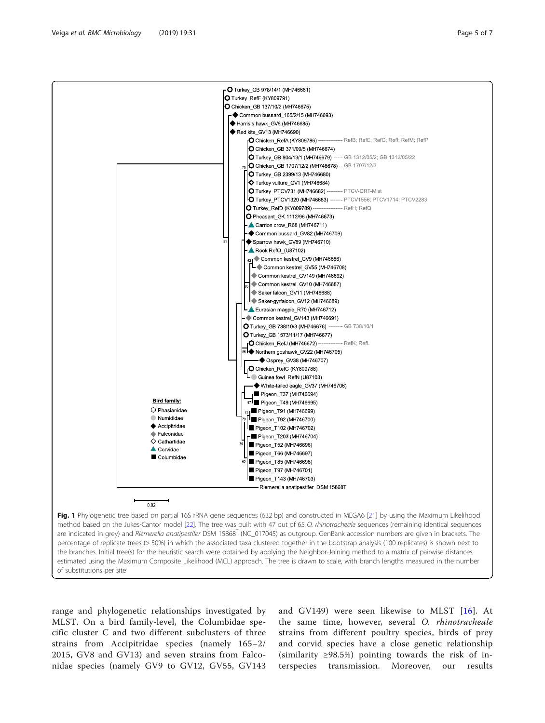<span id="page-4-0"></span>

range and phylogenetic relationships investigated by MLST. On a bird family-level, the Columbidae specific cluster C and two different subclusters of three strains from Accipitridae species (namely 165–2/ 2015, GV8 and GV13) and seven strains from Falconidae species (namely GV9 to GV12, GV55, GV143 and GV149) were seen likewise to MLST  $[16]$ . At the same time, however, several O. rhinotracheale strains from different poultry species, birds of prey and corvid species have a close genetic relationship  $(\text{similarity} \geq 98.5\%)$  pointing towards the risk of interspecies transmission. Moreover, our results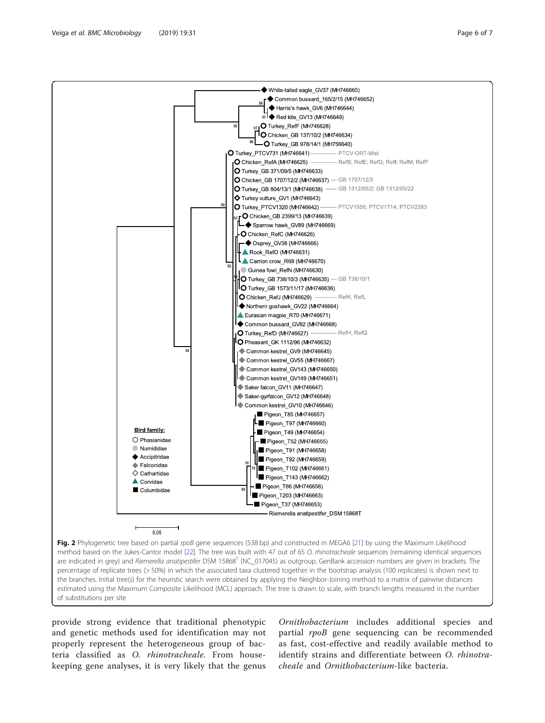<span id="page-5-0"></span>Veiga et al. BMC Microbiology (2019) 19:31 Page 6 of 7



estimated using the Maximum Composite Likelihood (MCL) approach. The tree is drawn to scale, with branch lengths measured in the number of substitutions per site

provide strong evidence that traditional phenotypic and genetic methods used for identification may not properly represent the heterogeneous group of bacteria classified as O. rhinotracheale. From housekeeping gene analyses, it is very likely that the genus

Ornithobacterium includes additional species and partial rpoB gene sequencing can be recommended as fast, cost-effective and readily available method to identify strains and differentiate between O. rhinotracheale and Ornithobacterium-like bacteria.